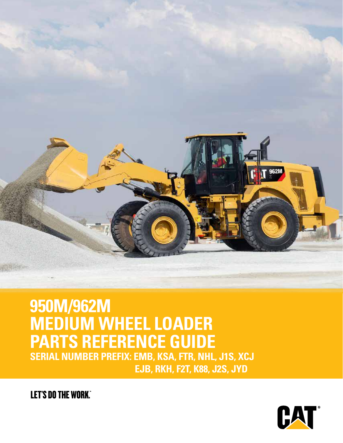

## **950M/962M MEDIUM WHEEL LOADER PARTS REFERENCE GUIDE SERIAL NUMBER PREFIX: EMB, KSA, FTR, NHL, J1S, XCJ EJB, RKH, F2T, K88, J2S, JYD**

**LET'S DO THE WORK.** 

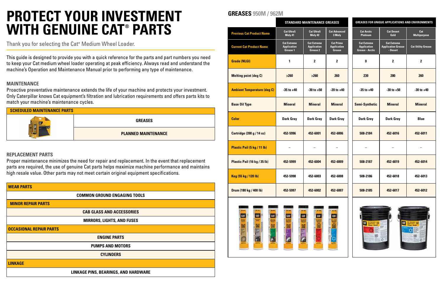| SCHEDULED MAINTENANCE PARTS |                            |
|-----------------------------|----------------------------|
|                             | <b>GREASES</b>             |
|                             | <b>PLANNED MAINTENANCE</b> |

This guide is designed to provide you with a quick reference for the parts and part numbers you need to keep your Cat medium wheel loader operating at peak efficiency. Always read and understand the machine's Operation and Maintenance Manual prior to performing any type of maintenance.

#### **MAINTENANCE**

Proactive preventative maintenance extends the life of your machine and protects your investment. Only Caterpillar knows Cat equipment's filtration and lubrication requirements and offers parts kits to match your machine's maintenance cycles.

#### **REPLACEMENT PARTS**

Proper maintenance minimizes the need for repair and replacement. In the event that replacement parts are required, the use of genuine Cat parts helps maximize machine performance and maintains high resale value. Other parts may not meet certain original equipment specifications.

Thank you for selecting the Cat**®** Medium Wheel Loader.

## **PROTECT YOUR INVESTMENT WITH GENUINE CAT® PARTS**

| <b>WEAR PARTS</b>                    |
|--------------------------------------|
| <b>COMMON GROUND ENGAGING TOOLS</b>  |
| <b>MINOR REPAIR PARTS</b>            |
| <b>CAB GLASS AND ACCESSORIES</b>     |
| <b>MIRRORS, LIGHTS, AND FUSES</b>    |
| <b>OCCASIONAL REPAIR PARTS</b>       |
| <b>ENGINE PARTS</b>                  |
| <b>PUMPS AND MOTORS</b>              |
| <b>CYLINDERS</b>                     |
| <b>LINKAGE</b>                       |
| LINKAGE PINS, BEARINGS, AND HARDWARE |



#### **GREASES GREASES FOR UNIQUE APPLICATIONS AND ENVIRONMENTS**

| <b>Cat Arctic</b><br><b>Platinum</b>                               | <b>Cat Desert</b><br>Gold                                   | Cat<br><b>Multipurpose</b> |
|--------------------------------------------------------------------|-------------------------------------------------------------|----------------------------|
| <b>Cat Extreme</b><br><b>Application</b><br><b>Grease - Arctic</b> | <b>Cat Extreme</b><br><b>Application Grease</b><br>- Desert | <b>Cat Utility Grease</b>  |
| 0                                                                  | 2                                                           | 2                          |
| 230                                                                | 280                                                         | 260                        |
| $-35$ to $+40$                                                     | $-30$ to $+50$                                              | $-30$ to $+40$             |
| Semi-Synthetic                                                     | <b>Mineral</b>                                              | <b>Mineral</b>             |
| <b>Dark Grey</b>                                                   | <b>Dark Grey</b>                                            | <b>Blue</b>                |
| 508-2184                                                           | 452-6016                                                    | 452-6011                   |
|                                                                    |                                                             |                            |
| 508-2187                                                           | 452-6019                                                    | 452-6014                   |
| 508-2186                                                           | 452-6018                                                    | 452-6013                   |
| 508-2185                                                           | 452-6017                                                    | 452-6012                   |



|                                    | <b>STANDARD MAINTENANCE GREASES</b>                  |                                                      |                                                  | <b>GREASES FOR UNIQUE APPLICATIONS AND ENVIRONMED</b> |                                                                    |                                                             |                            |
|------------------------------------|------------------------------------------------------|------------------------------------------------------|--------------------------------------------------|-------------------------------------------------------|--------------------------------------------------------------------|-------------------------------------------------------------|----------------------------|
| <b>Previous Cat Product Name</b>   | <b>Cat Ultra5</b><br>Moly #1                         | <b>Cat Ultra5</b><br>Moly #2                         | <b>Cat Advanced</b><br>3 Moly                    |                                                       | <b>Cat Arctic</b><br><b>Platinum</b>                               | <b>Cat Desert</b><br>Gold                                   | Cat<br><b>Multipurpose</b> |
| <b>Current Cat Product Name</b>    | <b>Cat Extreme</b><br><b>Application</b><br>Grease 1 | <b>Cat Extreme</b><br><b>Application</b><br>Grease 2 | <b>Cat Prime</b><br><b>Application</b><br>Grease |                                                       | <b>Cat Extreme</b><br><b>Application</b><br><b>Grease - Arctic</b> | <b>Cat Extreme</b><br><b>Application Grease</b><br>- Desert | <b>Cat Utility Grea</b>    |
| <b>Grade (NLGI)</b>                | 1                                                    | $\mathbf{2}$                                         | $\mathbf 2$                                      |                                                       | $\mathbf 0$                                                        | $\mathbf 2$                                                 | $\mathbf{2}$               |
| <b>Melting point (deg C)</b>       | $>260$                                               | $>260$                                               | 260                                              |                                                       | 230                                                                | 280                                                         | 260                        |
| <b>Ambient Temperature (deg C)</b> | $-35$ to $+40$                                       | $-30$ to $+50$                                       | $-20$ to $+40$                                   |                                                       | $-35$ to $+40$                                                     | $-30$ to $+50$                                              | $-30$ to $+40$             |
| <b>Base Oil Type</b>               | <b>Mineral</b>                                       | <b>Mineral</b>                                       | <b>Mineral</b>                                   |                                                       | <b>Semi-Synthetic</b>                                              | <b>Mineral</b>                                              | <b>Mineral</b>             |
| <b>Color</b>                       | <b>Dark Gray</b>                                     | <b>Dark Gray</b>                                     | <b>Dark Gray</b>                                 |                                                       | <b>Dark Grey</b>                                                   | <b>Dark Grey</b>                                            | <b>Blue</b>                |
| Cartridge (390 g / 14 oz)          | 452-5996                                             | 452-6001                                             | 452-6006                                         |                                                       | 508-2184                                                           | 452-6016                                                    | 452-6011                   |
| Plastic Pail (5 kg / 11 lb)        | $\sim$                                               | $\overline{\phantom{0}}$                             | $\overline{\phantom{0}}$                         |                                                       |                                                                    | $\overline{\phantom{a}}$                                    |                            |
| Plastic Pail (16 kg / 35 lb)       | 452-5999                                             | 452-6004                                             | 452-6009                                         |                                                       | 508-2187                                                           | 452-6019                                                    | 452-6014                   |
| Keg (55 kg / 120 lb)               | 452-5998                                             | 452-6003                                             | 452-6008                                         |                                                       | 508-2186                                                           | 452-6018                                                    | 452-6013                   |
| Drum (180 kg / 400 lb)             | 452-5997                                             | 452-6002                                             | 452-6007                                         |                                                       | 508-2185                                                           | 452-6017                                                    | 452-6012                   |



#### **GREASES 950M / 962M**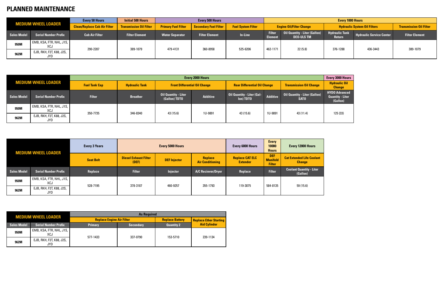#### **PLANNED MAINTENANCE**

|                    |                                         | <b>Every 50 Hours</b>               | <b>Initial 500 Hours</b><br><b>Every 500 Hours</b> |                            |                                                                                                                                     | <b>Every 1000 Hours</b> |                                 |                                                           |                                        |                          |                       |                                |
|--------------------|-----------------------------------------|-------------------------------------|----------------------------------------------------|----------------------------|-------------------------------------------------------------------------------------------------------------------------------------|-------------------------|---------------------------------|-----------------------------------------------------------|----------------------------------------|--------------------------|-----------------------|--------------------------------|
|                    | <b>MEDIUM WHEEL LOADER</b>              | <b>Clean/Replace Cab Air Filter</b> | <b>Transmission Oil Filter</b>                     | <b>Primary Fuel Filter</b> | <b>Secondary Fuel Filter</b><br><b>Hydraulic System Oil Filters</b><br><b>Fuel System Filter</b><br><b>Engine Oil/Filter Change</b> |                         |                                 |                                                           |                                        |                          |                       | <b>Transmission Oil Filter</b> |
| <b>Sales Model</b> | <b>Serial Number Prefix</b>             | <b>Cab Air Filter</b>               | <b>Filter Element</b>                              | <b>Water Separator</b>     | <b>Filter Element</b>                                                                                                               | In-Line                 | <b>Filter</b><br><b>Element</b> | <b>Oil Quantity - Liter (Gallon)</b><br><b>DEO-ULS TM</b> | <b>Hydraulic Tank</b><br><b>Return</b> | Hydraulic Service Center | <b>Filter Element</b> |                                |
| 950M               | $ $ EMB, KSA, FTR, NHL, J1S, $ $<br>XCJ | 290-2287                            | 389-1079                                           | 479-4131                   |                                                                                                                                     | 525-6206                | 462-1171                        | 22(5.8)                                                   | 376-1288                               | 436-3443                 | 389-1079              |                                |
| 962M               | EJB, RKH, F2T, K88, J2S,<br>JYD         |                                     |                                                    |                            | 360-8958                                                                                                                            |                         |                                 |                                                           |                                        |                          |                       |                                |



|                    |                                               | Every 3000 Hou<br><b>Every 2000 Hours</b>     |                 |                                              |                 |                                         |                 |                                                     |                                                            |                                |                                       |
|--------------------|-----------------------------------------------|-----------------------------------------------|-----------------|----------------------------------------------|-----------------|-----------------------------------------|-----------------|-----------------------------------------------------|------------------------------------------------------------|--------------------------------|---------------------------------------|
|                    | <b>MEDIUM WHEEL LOADER</b>                    | <b>Hydraulic Tank</b><br><b>Fuel Tank Cap</b> |                 | <b>Front Differential Oil Change</b>         |                 |                                         |                 | <b>Rear Differential Oil Change</b>                 |                                                            | <b>Transmission Oil Change</b> | <b>Hydraulic Oil</b><br><b>Change</b> |
| <b>Sales Model</b> | <b>Serial Number Prefix</b>                   | <b>Filter</b>                                 | <b>Breather</b> | <b>Oil Quantity - Liter</b><br>(Gallon) TDTO | <b>Additive</b> | Oil Quantity - Liter (Gal-<br>lon) TDTO | <b>Additive</b> | <b>Oil Quantity - Liter (Gallon)</b><br><b>SATO</b> | <b>HYDO Advance</b><br><b>Quantity - Liter</b><br>(Gallon) |                                |                                       |
| 950M               | $\mid$ EMB, KSA, FTR, NHL, J1S, $\mid$<br>XCJ | 350-7735                                      | 346-8340        | 43 (15.6)                                    | 1U-9891         | 43 (15.6)                               | 1U-9891         | 43 (11.4)                                           | 125(33)                                                    |                                |                                       |
| 962M               | EJB, RKH, F2T, K88, J2S,<br>JYD               |                                               |                 |                                              |                 |                                         |                 |                                                     |                                                            |                                |                                       |

|                    | <b>MEDIUM WHEEL LOADER</b>      | <b>Every 3 Years</b> | <b>Every 5000 Hours</b>               |                     |                                    | Every 6000 Hours                          | <b>Every</b><br>10000<br><b>Hours</b>          | Every 12000 Hours                                 |
|--------------------|---------------------------------|----------------------|---------------------------------------|---------------------|------------------------------------|-------------------------------------------|------------------------------------------------|---------------------------------------------------|
|                    |                                 | <b>Seat Belt</b>     | <b>Diesel Exhaust Filter</b><br>(DEF) | <b>DEF Injector</b> | Replace<br><b>Air Conditioning</b> | <b>Replace CAT ELC</b><br><b>Extender</b> | <b>DEF</b><br><b>Manifold</b><br><b>Filter</b> | <b>Cat Extended Life Coolant</b><br><b>Change</b> |
| <b>Sales Model</b> | <b>Serial Number Prefix</b>     | Replace              | <b>Filter</b>                         | Injector            | A/C Reciever/Dryer                 | Replace                                   | <b>Filter</b>                                  | <b>Coolant Quantity - Liter</b><br>(Gallon)       |
| 950M               | EMB, KSA, FTR, NHL, J1S,<br>XCJ |                      |                                       | 460-9257            | 355-1793                           | 119-3075                                  | 584-8135                                       |                                                   |
| 962M               | EJB, RKH, F2T, K88, J2S,<br>JYD | 528-7195             | 378-3187                              |                     |                                    |                                           |                                                | 59 (15.6)                                         |

| <b>MEDIUM WHEEL LOADER</b> |                                 | <b>As Required</b>               |                  |                        |                               |  |  |  |
|----------------------------|---------------------------------|----------------------------------|------------------|------------------------|-------------------------------|--|--|--|
|                            |                                 | <b>Replace Engine Air Filter</b> |                  | <b>Replace Battery</b> | <b>Replace Ether Starting</b> |  |  |  |
| <b>Sales Model</b>         | <b>Serial Number Prefix</b>     | <b>Primary</b>                   | <b>Secondary</b> | <b>Quantity 2</b>      | <b>Aid Cylinder</b>           |  |  |  |
| 950M                       | EMB, KSA, FTR, NHL, J1S,<br>XCJ |                                  |                  |                        |                               |  |  |  |
| 962M                       | EJB, RKH, F2T, K88, J2S,<br>JYD | 577-1433                         | 337-0790         | 153-5710               | 239-1134                      |  |  |  |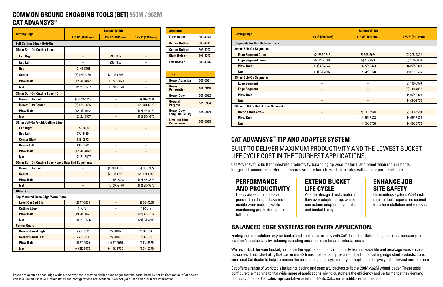#### **CAT ADVANSYS™ TIP AND ADAPTER SYSTEM** BUILT TO DELIVER MAXIMUM PRODUCTIVITY AND THE LOWEST BUCKET LIFE CYCLE COST IN THE TOUGHEST APPLICATIONS.

Cat Advansys™ is built for machine productivity, balancing tip wear material and penetration requirements. Integrated hammerless retention ensures you are back to work in minutes without a separate retainer.

#### **PERFORMANCE AND PRODUCTIVITY**

Heavy abrasion and heavy penetration designs have more usable wear material while maintaining profile during the full life of the tip.

### **BALANCED EDGE SYSTEMS FOR EVERY APPLICATION.**

Finding the best solution for your bucket and application is easy with Cat's broad portfolio of edge options. Increase your machine's productivity by reducing operating costs and maintenance interval costs.

#### **COMMON GROUND ENGAGING TOOLS (GET) 950M / 962M CAT ADVANSYS™**

We have G.E.T. for your bucket, no matter the application or environment. Maximum wear life and breakage resistance is possible with our steel alloy that can endure 2 times the heat and pressure of traditional cutting edge steel products. Consult your local Cat dealer to help determine the best cutting edge system for your application to give you the lowest cost per hour.

Cat offers a range of work tools including loading and specialty buckets to fit the 950M /962M wheel loader. These tools configure the machine to fit a wide range of applications, giving customers the efficiency and performance they demand. Contact your local Cat sales representative or refer to Parts.Cat.com for additional information.

#### **EXTEND BUCKET LIFE CYCLE**

Adapter design directs material flow over adapter strap, which can extend adapter service life and bucket life cycle.

#### **ENHANCE JOB SITE SAFETY**

Hammerless system. A 3/4 inch retainer lock requires no special tools for installation and removal.

| <b>Adapters</b>       |          |
|-----------------------|----------|
| <b>Flushmount</b>     | 505-4040 |
| <b>Center Bolt-on</b> | 505-4041 |
| <b>Center Bolt-on</b> | 505-4042 |
| <b>Right Bolt-on</b>  | 505-4043 |
| <b>Left Bolt-on</b>   | 505-4044 |
|                       |          |

| <b>Cutting Edge</b>                                | 113.6" (2886mm)          | 119.4" (3032mm) | 125.7" (3193mm)          |
|----------------------------------------------------|--------------------------|-----------------|--------------------------|
| <b>Full Cutting Edge - Bolt-On</b>                 |                          |                 |                          |
| 30mm Bolt-On Cutting Edge                          |                          |                 |                          |
| <b>End Right</b>                                   | -                        | 233-1852        | -                        |
| <b>End Left</b>                                    |                          | 233-1853        |                          |
| <b>End</b>                                         | $(2)$ 4T-8101            |                 |                          |
| <b>Center</b>                                      | (2) 139-9230             | (2) 1U-0593     |                          |
| <b>Plow Bolt</b>                                   | $(12)$ 4F-4042           | $(10)$ 5P-8823  |                          |
| <b>Nut</b>                                         | $(12)$ 2J-3507           | $(10)$ 3K-9770  |                          |
| 35mm Bolt-On Cutting Edge HD                       |                          |                 |                          |
| <b>Heavy Duty End</b>                              | (2) 132-1033             |                 | $(2)$ 167-7430           |
| <b>Heavy Duty Center</b>                           | $(2)$ 135-9666           |                 | $(2)$ 140-6823           |
| <b>Plow Bolt</b>                                   | $(12)$ 4F-4042           |                 | $(12) 5P-8823$           |
| <b>Nut</b>                                         | $(12)$ 2J-3507           |                 | $(12)$ 3K-9770           |
| 30mm Bolt-On A.R.M. Cutting Edge                   |                          |                 |                          |
| <b>End Right</b>                                   | 9W-3488                  | $\equiv$        | $\overline{\phantom{0}}$ |
| <b>End Left</b>                                    | 9W-3489                  | $\equiv$        |                          |
| <b>Center Right</b>                                | 138-0673                 |                 |                          |
| <b>Center Left</b>                                 | 138-0672                 |                 |                          |
| <b>Plow Bolt</b>                                   | $(12)$ 4F-4042           |                 |                          |
| Nut                                                | $(12)$ 2J-3507           |                 |                          |
| 30mm Bolt-On Cutting Edge Heavy Duty End Segements |                          |                 |                          |
| <b>Heavy Duty End</b>                              |                          | $(2)$ 3G-6395   | $(2)$ 3G-6395            |
| <b>Center</b>                                      | $=$                      | $(2)$ 1U-0593   | $(2)$ 100-6668           |
| <b>Plow Bolt</b>                                   |                          | $(10)$ 5P-8823  | $(12) 5P-8823$           |
| <b>Nut</b>                                         | $\overline{\phantom{0}}$ | (10) 3K-9770    | (12) 3K-9770             |
| Other GET                                          |                          |                 |                          |
| <b>Top Mounted Base Edge Ware Plate</b>            |                          |                 |                          |
| <b>Level Cut End Bit</b>                           | $(2)$ 4T-6659            |                 | $(2)$ 3G-4285            |
| <b>Cutting Edge</b>                                | 4T-0731                  |                 | 4T-3017                  |
| <b>Plow Bolt</b>                                   | $(19)$ 4F-7827           |                 | $(23)$ 4F-7827           |
| <b>Nut</b>                                         | (19) 2J-3506             |                 | (23) 2J-3506             |
| <b>Corner Guard</b>                                |                          |                 |                          |
| <b>Corner Guard Right</b>                          | 253-0062                 | 253-0062        | 253-0064                 |
| <b>Corner Guard Left</b>                           | 253-0063                 | 253-0063        | 253-0065                 |
| <b>Plow Bolt</b>                                   | $(4)$ 8T-9079            | $(4)$ 8T-9079   | $(4)$ 6V-6535            |
| <b>Nut</b>                                         | $(4)$ 3K-9770            | (4) 3K-9770     | (4) 3K-9770              |

| <b>Tips</b>                               |          |
|-------------------------------------------|----------|
| <b>Heavy Abrasion</b>                     | 505-3981 |
| <b>Heavy</b><br><b>Penetration</b>        | 505-3980 |
| <b>Heavy Duty</b>                         | 505-3982 |
| General<br><b>Purpose</b>                 | 505-3984 |
| <b>Heavy Duty</b><br>Long Life (ARM)      | 505-3983 |
| <b>Leveling Edge</b><br><b>Conversion</b> | 505-3985 |

| These are common base edge widths, however, there may be similar base edges that the parts listed do not fit. Contact your Cat dealer. |
|----------------------------------------------------------------------------------------------------------------------------------------|
| This is a limited list of GET, other styles and configurations are available. Contact your Cat dealer for more information.            |

|                                         | <b>Bucket Width</b>      |                          |                 |  |  |  |  |  |
|-----------------------------------------|--------------------------|--------------------------|-----------------|--|--|--|--|--|
| <b>Cutting Edge</b>                     | 113.6" (2886mm)          | 119.4" (3032mm)          | 125.7" (3193mm) |  |  |  |  |  |
| <b>Segments for Use Between Tips</b>    |                          |                          |                 |  |  |  |  |  |
| 30mm Bolt-On Segments                   |                          |                          |                 |  |  |  |  |  |
| <b>Edge Segment Outer</b>               | $(2)$ 263-7545           | $(2)$ 308-3054           | $(2)$ 308-4322  |  |  |  |  |  |
| <b>Edge Segment Inner</b>               | $(5)$ 140-7601           | $(5)$ 4T-6699            | $(5)$ 100-6666  |  |  |  |  |  |
| <b>Plow Bolt</b>                        | $(14)$ 4F-4042           | $(14) 5P-8823$           | $(14) 5P-8823$  |  |  |  |  |  |
| <b>Nut</b>                              | $(14)$ 2J-3507           | $(14)$ 3K-9770           | $(14)$ 2J-3506  |  |  |  |  |  |
| <b>35mm Bolt-On Segments</b>            |                          |                          |                 |  |  |  |  |  |
| <b>Edge Segment</b>                     | $\overline{\phantom{m}}$ | $\overline{\phantom{0}}$ | $(2)$ 140-6870  |  |  |  |  |  |
| <b>Edge Segment</b>                     | $\overline{\phantom{m}}$ |                          | $(5)$ 310-4067  |  |  |  |  |  |
| <b>Plow Bolt</b>                        |                          |                          | $(14) 5P-8823$  |  |  |  |  |  |
| <b>Nut</b>                              |                          |                          | $(14)$ 3K-9770  |  |  |  |  |  |
| <b>30mm Bolt-On Half Arrow Segments</b> |                          |                          |                 |  |  |  |  |  |
| <b>Bolt-on Half Arrow</b>               | -                        | $(7)$ 313-5548           | $(7)$ 313-5550  |  |  |  |  |  |
| <b>Plow Bolt</b>                        | -                        | $(14) 5P-8823$           | $(14) 5P-8823$  |  |  |  |  |  |
| <b>Nut</b>                              |                          | $(14)$ 3K-9770           | $(14)$ 3K-9770  |  |  |  |  |  |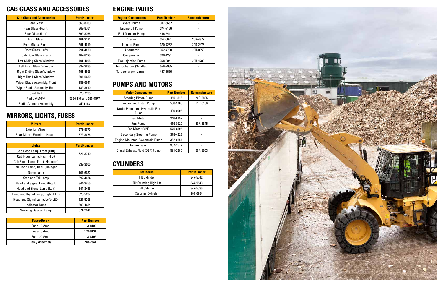#### **CAB GLASS AND ACCESSORIES**

#### **MIRRORS, LIGHTS, FUSES**

#### **CYLINDERS**

#### **ENGINE PARTS**

#### **PUMPS AND MOTORS**

| <b>Cab Glass and Accessories</b>   | <b>Part Number</b>    |
|------------------------------------|-----------------------|
| <b>Rear Glass</b>                  | 369-8763              |
| Rear Glass (Right)                 | 369-8764              |
| Rear Glass (Left)                  | 369-8765              |
| <b>Front Glass</b>                 | 461-3174              |
| <b>Front Glass (Right)</b>         | 291-4819              |
| <b>Front Glass (Left)</b>          | 291-4820              |
| Cab Door Glass (Left)              | 462-6225              |
| Left Sliding Glass Window          | 491-4995              |
| <b>Left Fixed Glass Window</b>     | 392-3985              |
| <b>Right Sliding Glass Window</b>  | 491-4996              |
| <b>Right Fixed Glass Window</b>    | 394-5939              |
| <b>Wiper Blade Assembly, Front</b> | 152-6641              |
| Wiper Blade Assembly, Rear         | 189-8610              |
| <b>Seat Belt</b>                   | 528-7195              |
| Radio AM/FM                        | 583-8197 and 585-1577 |
| Radio-Antenna Assembly             | 8E-1118               |

| <b>Mirrors</b>                 | <b>Part Number</b> |
|--------------------------------|--------------------|
| <b>Exterior Mirror</b>         | 372-8075           |
| Rear Mirror, Exterior - Heated | 372-8076           |

| <b>Lights</b>                     | <b>Part Number</b> |
|-----------------------------------|--------------------|
| Cab Flood Lamp, Front (HID)       | 324-3740           |
| Cab Flood Lamp, Rear (HID)        |                    |
| Cab Flood Lamp, Front (Halogen)   | 339-3505           |
| Cab Flood Lamp, Rear (Halogen)    |                    |
| Dome Lamp                         | 107-6032           |
| Stop and Tail Lamp                | 392-4634           |
| Head and Signal Lamp (Right)      | 344-3455           |
| Head and Signal Lamp (Left)       | 344-3456           |
| Head and Signal Lamp, Right (LED) | 525-5297           |
| Head and Signal Lamp, Left (LED)  | 525-5298           |
| Indicator Lamp                    | 392-4634           |
| <b>Warning Beacon Lamp</b>        | 371-2241           |

| <b>Fuses/Relay</b>    | <b>Part Number</b> |
|-----------------------|--------------------|
| Fuse-10 Amp           | 113-8490           |
| Fuse-15 Amp           | 113-8491           |
| Fuse-20 Amp           | 113-8492           |
| <b>Relay Assembly</b> | 248-2841           |

| <b>Engine Components</b>   | <b>Part Number</b> | <b>Remanufacture</b> |
|----------------------------|--------------------|----------------------|
| <b>Water Pump</b>          | 397-5682           |                      |
| Engine Oil Pump            | 374-7136           |                      |
| <b>Fuel Transfer Pump</b>  | 446-5411           |                      |
| <b>Starter</b>             | 354-5671           | 20R-4877             |
| Injector Pump              | 370-7282           | 20R-2478             |
| Alternator                 | 352-4700           | 20R-0959             |
| Compressor                 | 320-1291           |                      |
| <b>Fuel Injection Pump</b> | 368-9041           | 20R-4782             |
| Turbocharger (Smaller)     | 556-7935           |                      |
| Turbocharger (Larger)      | 457-3636           |                      |

| <b>Major Components</b>                | <b>Part Number</b> | <b>Remanufacture</b> |
|----------------------------------------|--------------------|----------------------|
| <b>Steering Piston Pump</b>            | 455-1846           | 20R-8885             |
| <b>Implement Piston Pump</b>           | 506-3700           | 11R-0186             |
| Brake Piston and Hydraulic Fan<br>Pump | 430-9005           |                      |
| <b>Fan Motor</b>                       | 246-6152           |                      |
| Fan Pump                               | 419-8920           | 20R-1845             |
| Fan Motor (VPF)                        | 575-6895           |                      |
| <b>Secondary Steering Pump</b>         | 378-4323           |                      |
| <b>Engine Mounted Powertrain Pump</b>  | 362-9554           |                      |
| Transmission                           | 357-1577           |                      |
| Diesel Exhaust Fluid (DEF) Pump        | 591-2386           | 20R-9603             |

| <b>Cylinders</b>         | <b>Part Number</b> |
|--------------------------|--------------------|
| <b>Tilt Cylinder</b>     | 347-5542           |
| Tilt Cylinder, High Lift | 347-5543           |
| Lift Cylinder            | 347-5536           |
| <b>Steering Cylinder</b> | 395-0394           |
|                          |                    |

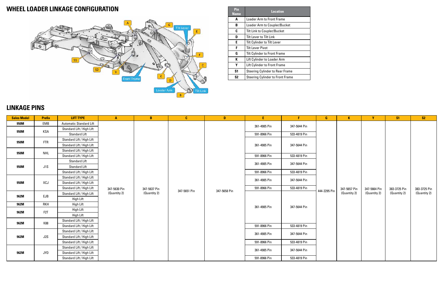#### **WHEEL LOADER LINKAGE CONFIGURATION**



#### **LINKAGE PINS**

| Pin<br><b>Name</b> | <b>Location</b>                         |  |  |  |  |  |  |  |
|--------------------|-----------------------------------------|--|--|--|--|--|--|--|
| A                  | <b>Loader Arm to Front Frame</b>        |  |  |  |  |  |  |  |
| в                  | Loader Arm to Coupler/Bucket            |  |  |  |  |  |  |  |
| C                  | <b>Tilt Link to Coupler/Bucket</b>      |  |  |  |  |  |  |  |
| D                  | <b>Tilt Lever to Tilt Link</b>          |  |  |  |  |  |  |  |
| F                  | <b>Tilt Cylinder to Tilt Lever</b>      |  |  |  |  |  |  |  |
| F                  | <b>Tilt Lever Pivot</b>                 |  |  |  |  |  |  |  |
| G                  | <b>Tilt Cylinder to Front Frame</b>     |  |  |  |  |  |  |  |
| К                  | Lift Cylinder to Loader Arm             |  |  |  |  |  |  |  |
| γ                  | <b>Lift Cylinder to Front Frame</b>     |  |  |  |  |  |  |  |
| S <sub>1</sub>     | <b>Steering Cylinder to Rear Frame</b>  |  |  |  |  |  |  |  |
| S2                 | <b>Steering Cylinder to Front Frame</b> |  |  |  |  |  |  |  |

| <b>Sales Model</b> | <b>Prefix</b>    | <b>LIFT TYPE</b>               | $\mathbf{A}$                 | $\mathbf{B}$                 | $\mathbf{C}$ | $\mathbf{D}$ | E.           |              | G            | $\mathbf{K}$ | Y            | S <sub>1</sub> | S <sub>2</sub> |
|--------------------|------------------|--------------------------------|------------------------------|------------------------------|--------------|--------------|--------------|--------------|--------------|--------------|--------------|----------------|----------------|
| 950M               | EMB              | <b>Automatic Standard Lift</b> |                              |                              |              |              | 361-4985 Pin | 347-5644 Pin |              |              |              |                |                |
| 950M               | KSA              | Standard Lift / High Lift      |                              |                              |              |              |              |              |              |              |              |                |                |
|                    |                  | <b>Standard Lift</b>           |                              |                              |              |              | 591-8966 Pin | 533-4819 Pin |              |              |              |                |                |
| 950M               | <b>FTR</b>       | Standard Lift / High Lift      |                              |                              |              |              |              |              |              |              |              |                |                |
|                    |                  | Standard Lift / High Lift      |                              |                              |              |              | 361-4985 Pin | 347-5644 Pin |              |              |              |                |                |
| 950M               | <b>NHL</b>       | Standard Lift / High Lift      |                              |                              |              |              |              |              |              |              |              |                |                |
|                    |                  | Standard Lift / High Lift      |                              |                              |              |              | 591-8966 Pin | 533-4819 Pin |              |              |              | 383-3725 Pin   | 383-3725 Pin   |
|                    |                  | <b>Standard Lift</b>           |                              |                              |              |              | 361-4985 Pin | 347-5644 Pin |              |              |              |                |                |
| 950M               | J1S              | <b>Standard Lift</b>           |                              |                              |              | 347-5658 Pin |              |              |              |              | 347-5664 Pin |                |                |
|                    |                  | Standard Lift / High Lift      |                              |                              |              |              | 591-8966 Pin | 533-4819 Pin |              | 347-5657 Pin |              |                |                |
|                    |                  | Standard Lift / High Lift      |                              | 347-5637 Pin<br>(Quantity 2) |              |              | 361-4985 Pin | 347-5644 Pin |              |              |              |                |                |
| 950M               | XCJ              | Standard Lift / High Lift      | 347-5630 Pin<br>(Quantity 2) |                              |              |              |              |              |              |              |              |                |                |
|                    |                  | Standard Lift / High Lift      |                              |                              | 347-5651 Pin |              | 591-8966 Pin | 533-4819 Pin | 444-2295 Pin |              |              |                |                |
| 962M               | EJB              | Standard Lift / High Lift      |                              |                              |              |              |              |              |              | (Quantity 2) | (Quantity 2) | (Quantity 2)   | (Quantity 2)   |
|                    |                  | High Lift                      |                              |                              |              |              |              |              |              |              |              |                |                |
| 962M               | <b>RKH</b>       | High Lift                      |                              |                              |              |              | 361-4985 Pin | 347-5644 Pin |              |              |              |                |                |
| 962M               | F <sub>2</sub> T | High Lift                      |                              |                              |              |              |              |              |              |              |              |                |                |
|                    |                  | High Lift                      |                              |                              |              |              |              |              |              |              |              |                |                |
| 962M               | K88              | Standard Lift / High Lift      |                              |                              |              |              |              |              |              |              |              |                |                |
|                    |                  | Standard Lift / High Lift      |                              |                              |              |              | 591-8966 Pin | 533-4819 Pin |              |              |              |                |                |
|                    |                  | Standard Lift / High Lift      |                              |                              |              |              | 361-4985 Pin | 347-5644 Pin |              |              |              |                |                |
|                    | 962M<br>J2S      | Standard Lift / High Lift      |                              |                              |              |              |              |              |              |              |              |                |                |
|                    |                  | Standard Lift / High Lift      |                              |                              |              |              | 591-8966 Pin | 533-4819 Pin |              |              |              |                |                |
|                    |                  | Standard Lift / High Lift      |                              |                              |              |              | 361-4985 Pin | 347-5644 Pin |              |              |              |                |                |
| 962M               | JYD              | Standard Lift / High Lift      |                              |                              |              |              |              |              |              |              |              |                |                |
|                    |                  | Standard Lift / High Lift      |                              |                              |              |              | 591-8966 Pin | 533-4819 Pin |              |              |              |                |                |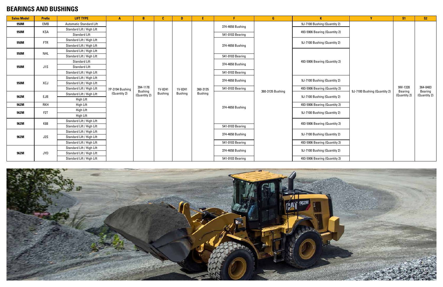#### **BEARINGS AND BUSHINGS**

| <b>Sales Model</b> | <b>Prefix</b>    | <b>LIFT TYPE</b>               | $\mathbf{A}$    | B.                         | $\mathbf{c}$ | D              | E.             | F.                                               | G                |                                                               | $\mathbf{v}$                 | S1                                 | S <sub>2</sub>                      |  |  |  |
|--------------------|------------------|--------------------------------|-----------------|----------------------------|--------------|----------------|----------------|--------------------------------------------------|------------------|---------------------------------------------------------------|------------------------------|------------------------------------|-------------------------------------|--|--|--|
| 950M               | EMB              | <b>Automatic Standard Lift</b> |                 |                            |              |                |                | 374-4658 Bushing                                 |                  | 9J-7100 Bushing (Quantity 2)                                  |                              |                                    |                                     |  |  |  |
| 950M               | <b>KSA</b>       | Standard Lift / High Lift      |                 |                            |              |                |                |                                                  |                  | 493-5906 Bearing (Quantity 2)                                 |                              |                                    |                                     |  |  |  |
|                    |                  | <b>Standard Lift</b>           |                 |                            |              |                |                | 541-0103 Bearing                                 |                  |                                                               |                              |                                    |                                     |  |  |  |
| 950M               | <b>FTR</b>       | Standard Lift / High Lift      |                 |                            |              |                |                |                                                  |                  | 9J-7100 Bushing (Quantity 2)                                  |                              |                                    |                                     |  |  |  |
|                    |                  | Standard Lift / High Lift      |                 |                            |              |                |                | 374-4658 Bushing                                 |                  |                                                               |                              |                                    |                                     |  |  |  |
| 950M               | <b>NHL</b>       | Standard Lift / High Lift      |                 |                            |              |                |                |                                                  |                  |                                                               |                              |                                    |                                     |  |  |  |
|                    |                  | Standard Lift / High Lift      |                 |                            |              |                |                | 541-0103 Bearing                                 |                  |                                                               |                              |                                    |                                     |  |  |  |
|                    |                  | Standard Lift                  |                 |                            |              |                |                | 374-4658 Bushing                                 |                  | 493-5906 Bearing (Quantity 2)                                 |                              |                                    |                                     |  |  |  |
| 950M               | J1S              | <b>Standard Lift</b>           |                 |                            |              |                |                |                                                  |                  |                                                               |                              |                                    |                                     |  |  |  |
|                    |                  | Standard Lift / High Lift      |                 |                            |              |                |                | 541-0103 Bearing                                 |                  |                                                               |                              |                                    |                                     |  |  |  |
|                    |                  | Standard Lift / High Lift      |                 |                            |              |                |                |                                                  |                  |                                                               |                              | 374-4658 Bushing                   | 9J-7100 Bushing (Quantity 2)        |  |  |  |
| 950M               | <b>XCJ</b>       | Standard Lift / High Lift      |                 |                            |              |                |                |                                                  | 360-3135 Bushing | 493-5906 Bearing (Quantity 2)<br>9J-7100 Bushing (Quantity 2) | 9J-7100 Bushing (Quantity 2) | 9M-1328<br>Bearing<br>(Quantity 2) | 364-8483<br>Bearing<br>(Quantity 2) |  |  |  |
|                    |                  | Standard Lift / High Lift      | 7P-3194 Bushing | 394-1178<br><b>Bushing</b> | 1V-8241      | 1V-8241        | 360-3135       | 541-0103 Bearing                                 |                  |                                                               |                              |                                    |                                     |  |  |  |
| 962M               | <b>EJB</b>       | Standard Lift / High Lift      | (Quantity 2)    | (Quantity 2)               | Bushing      | <b>Bushing</b> | <b>Bushing</b> |                                                  |                  |                                                               |                              |                                    |                                     |  |  |  |
|                    |                  | High Lift                      |                 |                            |              |                |                |                                                  |                  |                                                               |                              |                                    |                                     |  |  |  |
| 962M               | <b>RKH</b>       | High Lift                      |                 |                            |              |                |                | 374-4658 Bushing                                 |                  | 493-5906 Bearing (Quantity 2)                                 |                              |                                    |                                     |  |  |  |
| 962M               | F <sub>2</sub> T | <b>High Lift</b>               |                 |                            |              |                |                |                                                  |                  | 9J-7100 Bushing (Quantity 2)                                  |                              |                                    |                                     |  |  |  |
|                    |                  | High Lift                      |                 |                            |              |                |                |                                                  |                  |                                                               |                              |                                    |                                     |  |  |  |
| 962M               | K88              | Standard Lift / High Lift      |                 |                            |              |                |                |                                                  |                  | 493-5906 Bearing (Quantity 2)                                 |                              |                                    |                                     |  |  |  |
|                    |                  | Standard Lift / High Lift      |                 |                            |              |                |                | 541-0103 Bearing                                 |                  |                                                               |                              |                                    |                                     |  |  |  |
|                    |                  | Standard Lift / High Lift      |                 |                            |              |                |                | 374-4658 Bushing<br>9J-7100 Bushing (Quantity 2) |                  |                                                               |                              |                                    |                                     |  |  |  |
| 962M               | J2S              | Standard Lift / High Lift      |                 |                            |              |                |                |                                                  |                  |                                                               |                              |                                    |                                     |  |  |  |
|                    |                  | Standard Lift / High Lift      |                 |                            |              |                |                | 541-0103 Bearing                                 |                  | 493-5906 Bearing (Quantity 2)                                 |                              |                                    |                                     |  |  |  |
|                    |                  | Standard Lift / High Lift      |                 |                            |              |                |                | 374-4658 Bushing                                 |                  |                                                               |                              |                                    |                                     |  |  |  |
| 962M               | JYD              | Standard Lift / High Lift      |                 |                            |              |                |                |                                                  |                  | 9J-7100 Bushing (Quantity 2)                                  |                              |                                    |                                     |  |  |  |
|                    |                  | Standard Lift / High Lift      |                 |                            |              |                |                | 541-0103 Bearing                                 |                  | 493-5906 Bearing (Quantity 2)                                 |                              |                                    |                                     |  |  |  |

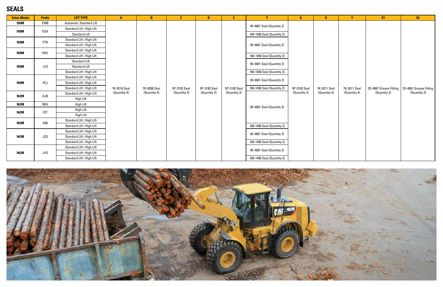#### **SEALS**

| <b>Sales Model</b> | <b>Prefix</b>    | <b>LIFT TYPE</b>               | A                            | $\mathbf{B}$                 | $\mathbf{c}$                 | D                            | E.                           |                            | G            | $\mathbf{K}$ | <b>Y</b>     | S1                     | S <sub>2</sub>         |
|--------------------|------------------|--------------------------------|------------------------------|------------------------------|------------------------------|------------------------------|------------------------------|----------------------------|--------------|--------------|--------------|------------------------|------------------------|
| 950M               | EMB              | <b>Automatic Standard Lift</b> |                              |                              |                              |                              |                              |                            |              |              |              |                        |                        |
| 950M               | <b>KSA</b>       | Standard Lift / High Lift      |                              |                              |                              |                              |                              | 9X-4601 Seal (Quantity 2)  |              |              |              |                        |                        |
|                    |                  | <b>Standard Lift</b>           |                              |                              |                              |                              |                              | 166-1498 Seal (Quantity 2) |              |              |              |                        |                        |
| 950M               | <b>FTR</b>       | Standard Lift / High Lift      |                              |                              |                              |                              |                              |                            |              |              |              |                        |                        |
|                    |                  | Standard Lift / High Lift      |                              |                              |                              |                              |                              | 9X-4601 Seal (Quantity 2)  |              |              |              |                        |                        |
| 950M               | <b>NHL</b>       | Standard Lift / High Lift      |                              |                              |                              |                              |                              |                            |              |              |              |                        |                        |
|                    |                  | Standard Lift / High Lift      |                              |                              |                              |                              |                              | 166-1498 Seal (Quantity 2) |              |              |              |                        |                        |
|                    |                  | <b>Standard Lift</b>           |                              |                              |                              |                              |                              | 9X-4601 Seal (Quantity 2)  |              |              |              |                        | 2D-4867 Grease Fitting |
| 950M               | J1S              | <b>Standard Lift</b>           |                              |                              |                              | 5P-3193 Seal<br>(Quantity 2) | 5P-3193 Seal<br>(Quantity 2) |                            |              |              | 7K-9211 Seal | 2D-4867 Grease Fitting |                        |
|                    |                  | Standard Lift / High Lift      |                              |                              |                              |                              |                              | 166-1498 Seal (Quantity 2) |              |              |              |                        |                        |
|                    |                  | Standard Lift / High Lift      | 7K-9216 Seal<br>(Quantity 4) |                              | 5P-3193 Seal<br>(Quantity 2) |                              |                              | 9X-4601 Seal (Quantity 2)  |              |              |              |                        |                        |
| 950M               | XCJ              | Standard Lift / High Lift      |                              | 7K-9208 Seal<br>(Quantity 4) |                              |                              |                              |                            |              |              |              |                        |                        |
|                    |                  | Standard Lift / High Lift      |                              |                              |                              |                              |                              | 166-1498 Seal (Quantity 2) | 5P-3193 Seal | 7K-9211 Seal |              |                        |                        |
| 962M               | <b>EJB</b>       | Standard Lift / High Lift      |                              |                              |                              |                              |                              |                            |              |              | (Quantity 2) | (Quantity 4)           | (Quantity 4)           |
|                    |                  | <b>High Lift</b>               |                              |                              |                              |                              |                              |                            |              |              |              |                        |                        |
| 962M               | <b>RKH</b>       | High Lift                      |                              |                              |                              |                              |                              | 9X-4601 Seal (Quantity 2)  |              |              |              |                        |                        |
| 962M               | F <sub>2</sub> T | High Lift                      |                              |                              |                              |                              |                              |                            |              |              |              |                        |                        |
|                    |                  | <b>High Lift</b>               |                              |                              |                              |                              |                              |                            |              |              |              |                        |                        |
| 962M               | K88              | Standard Lift / High Lift      |                              |                              |                              |                              |                              |                            |              |              |              |                        |                        |
|                    |                  | Standard Lift / High Lift      |                              |                              |                              |                              |                              | 166-1498 Seal (Quantity 2) |              |              |              |                        |                        |
|                    |                  | Standard Lift / High Lift      |                              |                              |                              |                              |                              | 9X-4601 Seal (Quantity 2)  |              |              |              |                        |                        |
| 962M               | J2S              | Standard Lift / High Lift      |                              |                              |                              |                              |                              |                            |              |              |              |                        |                        |
|                    |                  | Standard Lift / High Lift      |                              |                              |                              |                              |                              | 166-1498 Seal (Quantity 2) |              |              |              |                        |                        |
|                    |                  | Standard Lift / High Lift      |                              |                              |                              |                              |                              | 9X-4601 Seal (Quantity 2)  |              |              |              |                        |                        |
| 962M               | <b>JYD</b>       | Standard Lift / High Lift      |                              |                              |                              |                              |                              |                            |              |              |              |                        |                        |
|                    |                  | Standard Lift / High Lift      |                              |                              |                              |                              |                              | 166-1498 Seal (Quantity 2) |              |              |              |                        |                        |

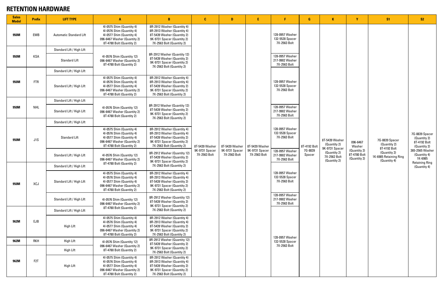#### **RETENTION HARDWARE**

| <b>Sales</b><br><b>Model</b> | <b>Prefix</b>                                                        | <b>LIFT TYPE</b>                                                                        | $\mathbf{A}$                                                                                                                                                                                                                                                                                                                                                                                    | B                                                                                                                                                     | <b>C</b>                                         | D                                                |                                                    | F                                                  | G                                 | $\mathbf{K}$                                                                                     | Y                                                                  | S <sub>1</sub>                                                                                           | S <sub>2</sub>                                                                                                                                        |
|------------------------------|----------------------------------------------------------------------|-----------------------------------------------------------------------------------------|-------------------------------------------------------------------------------------------------------------------------------------------------------------------------------------------------------------------------------------------------------------------------------------------------------------------------------------------------------------------------------------------------|-------------------------------------------------------------------------------------------------------------------------------------------------------|--------------------------------------------------|--------------------------------------------------|----------------------------------------------------|----------------------------------------------------|-----------------------------------|--------------------------------------------------------------------------------------------------|--------------------------------------------------------------------|----------------------------------------------------------------------------------------------------------|-------------------------------------------------------------------------------------------------------------------------------------------------------|
| 950M                         | EMB                                                                  | <b>Automatic Standard Lift</b>                                                          | 41-0575 Shim (Quantity 4)<br>4I-0576 Shim (Quantity 4)<br>41-0577 Shim (Quantity 4)<br>096-6467 Washer (Quantity 2)<br>8T-4780 Bolt (Quantity 2)                                                                                                                                                                                                                                                | 8R-2912 Washer (Quantity 4)<br>8R-2913 Washer (Quantity 4)<br>8T-5439 Washer (Quantity 2)<br>9K-9731 Spacer (Quantity 2)<br>7X-2563 Bolt (Quantity 2) |                                                  |                                                  |                                                    | 128-0957 Washer<br>132-5528 Spacer<br>7X-2563 Bolt |                                   |                                                                                                  |                                                                    |                                                                                                          |                                                                                                                                                       |
|                              | KSA                                                                  | Standard Lift / High Lift                                                               | 4I-0576 Shim (Quantity 12)<br>096-6467 Washer (Quantity 2)<br>8T-4780 Bolt (Quantity 2)<br>41-0575 Shim (Quantity 4)<br>41-0576 Shim (Quantity 4)<br>41-0577 Shim (Quantity 4)<br>096-6467 Washer (Quantity 2)<br>8T-4780 Bolt (Quantity 2)                                                                                                                                                     | 8R-2912 Washer (Quantity 12)<br>8T-5439 Washer (Quantity 2)<br>9K-9731 Spacer (Quantity 2)<br>7X-2563 Bolt (Quantity 2)                               |                                                  |                                                  |                                                    |                                                    |                                   |                                                                                                  |                                                                    |                                                                                                          |                                                                                                                                                       |
| 950M                         |                                                                      | <b>Standard Lift</b>                                                                    |                                                                                                                                                                                                                                                                                                                                                                                                 |                                                                                                                                                       |                                                  |                                                  |                                                    | 128-0957 Washer<br>217-9902 Washer<br>7X-2563 Bolt |                                   |                                                                                                  |                                                                    |                                                                                                          |                                                                                                                                                       |
| 950M                         | <b>FTR</b>                                                           | Standard Lift / High Lift                                                               |                                                                                                                                                                                                                                                                                                                                                                                                 |                                                                                                                                                       |                                                  |                                                  |                                                    |                                                    |                                   |                                                                                                  |                                                                    |                                                                                                          |                                                                                                                                                       |
|                              |                                                                      | Standard Lift / High Lift                                                               |                                                                                                                                                                                                                                                                                                                                                                                                 | 8R-2912 Washer (Quantity 4)<br>8R-2913 Washer (Quantity 4)<br>8T-5439 Washer (Quantity 2)<br>9K-9731 Spacer (Quantity 2)<br>7X-2563 Bolt (Quantity 2) |                                                  |                                                  |                                                    | 128-0957 Washer<br>132-5528 Spacer<br>7X-2563 Bolt |                                   |                                                                                                  |                                                                    |                                                                                                          |                                                                                                                                                       |
|                              | Standard Lift / High Lift<br><b>NHL</b><br>Standard Lift / High Lift |                                                                                         |                                                                                                                                                                                                                                                                                                                                                                                                 |                                                                                                                                                       |                                                  |                                                  |                                                    |                                                    |                                   |                                                                                                  |                                                                    |                                                                                                          |                                                                                                                                                       |
| 950M                         |                                                                      | 4I-0576 Shim (Quantity 12)<br>096-6467 Washer (Quantity 2)<br>8T-4780 Bolt (Quantity 2) | 8R-2912 Washer (Quantity 12)<br>8T-5439 Washer (Quantity 2)<br>9K-9731 Spacer (Quantity 2)<br>7X-2563 Bolt (Quantity 2)                                                                                                                                                                                                                                                                         |                                                                                                                                                       |                                                  |                                                  | 128-0957 Washer<br>217-9902 Washer<br>7X-2563 Bolt |                                                    |                                   |                                                                                                  |                                                                    |                                                                                                          |                                                                                                                                                       |
| 950M                         | J1S                                                                  | Standard Lift / High Lift                                                               |                                                                                                                                                                                                                                                                                                                                                                                                 |                                                                                                                                                       | 8T-5439 Washer<br>9K-9731 Spacer<br>7X-2563 Bolt | 8T-5439 Washer<br>9K-9731 Spacer<br>7X-2563 Bolt | 8T-5439 Washer<br>9K-9731 Spacer<br>7X-2563 Bolt   |                                                    | 8T-4192 Bolt<br>7G-8839<br>Spacer | 8T-5439 Washer<br>(Quantity 2)<br>9K-9731 Spacer<br>(Quantity 2)<br>7X-2562 Bolt<br>(Quantity 2) | 096-6467<br>Washer<br>(Quantity 2)<br>8T-4780 Bolt<br>(Quantity 2) | 7G-8839 Spacer<br>(Quantity 2)<br>8T-4192 Bolt<br>(Quantity 2)<br>1K-6985 Retaining Ring<br>(Quantity 4) | 7G-8839 Spacer<br>(Quantity 2)<br>8T-4192 Bolt<br>(Quantity 2)<br>365-2565 Washer<br>(Quantity 4)<br>1K-6985<br><b>Retaining Ring</b><br>(Quantity 4) |
|                              |                                                                      | <b>Standard Lift</b>                                                                    | 41-0575 Shim (Quantity 4)<br>4I-0576 Shim (Quantity 4)<br>41-0577 Shim (Quantity 4)<br>096-6467 Washer (Quantity 2)<br>8T-4780 Bolt (Quantity 2)<br>4I-0576 Shim (Quantity 12)<br>096-6467 Washer (Quantity 2)<br>8T-4780 Bolt (Quantity 2)<br>41-0575 Shim (Quantity 4)<br>4I-0576 Shim (Quantity 4)<br>4I-0577 Shim (Quantity 4)<br>096-6467 Washer (Quantity 2)<br>8T-4780 Bolt (Quantity 2) | 8R-2912 Washer (Quantity 4)<br>8R-2913 Washer (Quantity 4)<br>8T-5439 Washer (Quantity 2)<br>9K-9731 Spacer (Quantity 2)<br>7X-2563 Bolt (Quantity 2) |                                                  |                                                  |                                                    | 128-0957 Washer<br>132-5528 Spacer<br>7X-2563 Bolt |                                   |                                                                                                  |                                                                    |                                                                                                          |                                                                                                                                                       |
|                              |                                                                      | Standard Lift / High Lift                                                               |                                                                                                                                                                                                                                                                                                                                                                                                 | 8R-2912 Washer (Quantity 12)<br>8T-5439 Washer (Quantity 2)<br>9K-9731 Spacer (Quantity 2)<br>7X-2563 Bolt (Quantity 2)                               |                                                  |                                                  |                                                    | 128-0957 Washer<br>217-9902 Washer<br>7X-2563 Bolt |                                   |                                                                                                  |                                                                    |                                                                                                          |                                                                                                                                                       |
| 950M                         | XCJ                                                                  | Standard Lift / High Lift                                                               |                                                                                                                                                                                                                                                                                                                                                                                                 |                                                                                                                                                       |                                                  |                                                  |                                                    |                                                    |                                   |                                                                                                  |                                                                    |                                                                                                          |                                                                                                                                                       |
|                              |                                                                      | Standard Lift / High Lift                                                               |                                                                                                                                                                                                                                                                                                                                                                                                 | 8R-2912 Washer (Quantity 4)<br>8R-2913 Washer (Quantity 4)<br>8T-5439 Washer (Quantity 2)<br>9K-9731 Spacer (Quantity 2)<br>7X-2563 Bolt (Quantity 2) |                                                  |                                                  |                                                    | 128-0957 Washer<br>132-5528 Spacer<br>7X-2563 Bolt |                                   |                                                                                                  |                                                                    |                                                                                                          |                                                                                                                                                       |
|                              |                                                                      | Standard Lift / High Lift                                                               | 4I-0576 Shim (Quantity 12)<br>096-6467 Washer (Quantity 2)<br>8T-4780 Bolt (Quantity 2)<br>4I-0575 Shim (Quantity 4)<br>41-0576 Shim (Quantity 4)<br>4I-0577 Shim (Quantity 4)<br>096-6467 Washer (Quantity 2)<br>8T-4780 Bolt (Quantity 2)                                                                                                                                                     | 8R-2912 Washer (Quantity 12)<br>8T-5439 Washer (Quantity 2)<br>9K-9731 Spacer (Quantity 2)                                                            |                                                  |                                                  |                                                    | 128-0957 Washer<br>217-9902 Washer<br>7X-2563 Bolt |                                   |                                                                                                  |                                                                    |                                                                                                          |                                                                                                                                                       |
| 962M                         | EJB                                                                  | Standard Lift / High Lift                                                               |                                                                                                                                                                                                                                                                                                                                                                                                 | 7X-2563 Bolt (Quantity 2)                                                                                                                             |                                                  |                                                  |                                                    |                                                    |                                   |                                                                                                  |                                                                    |                                                                                                          |                                                                                                                                                       |
|                              |                                                                      | High Lift                                                                               |                                                                                                                                                                                                                                                                                                                                                                                                 | 8R-2912 Washer (Quantity 4)<br>8R-2913 Washer (Quantity 4)<br>8T-5439 Washer (Quantity 2)<br>9K-9731 Spacer (Quantity 2)<br>7X-2563 Bolt (Quantity 2) |                                                  |                                                  |                                                    | 128-0957 Washer<br>132-5528 Spacer<br>7X-2563 Bolt |                                   |                                                                                                  |                                                                    |                                                                                                          |                                                                                                                                                       |
| 962M                         | <b>RKH</b>                                                           | High Lift                                                                               | 4I-0576 Shim (Quantity 12)<br>096-6467 Washer (Quantity 2)<br>8T-4780 Bolt (Quantity 2)<br>41-0575 Shim (Quantity 4)<br>4I-0576 Shim (Quantity 4)<br>4I-0577 Shim (Quantity 4)<br>096-6467 Washer (Quantity 2)<br>8T-4780 Bolt (Quantity 2)                                                                                                                                                     | 8R-2912 Washer (Quantity 12)<br>8T-5439 Washer (Quantity 2)                                                                                           |                                                  |                                                  |                                                    |                                                    |                                   |                                                                                                  |                                                                    |                                                                                                          |                                                                                                                                                       |
| 962M                         | F <sub>2</sub> T                                                     | High Lift                                                                               |                                                                                                                                                                                                                                                                                                                                                                                                 | 9K-9731 Spacer (Quantity 2)<br>7X-2563 Bolt (Quantity 2)                                                                                              |                                                  |                                                  |                                                    |                                                    |                                   |                                                                                                  |                                                                    |                                                                                                          |                                                                                                                                                       |
|                              |                                                                      | High Lift                                                                               |                                                                                                                                                                                                                                                                                                                                                                                                 | 8R-2912 Washer (Quantity 4)<br>8R-2913 Washer (Quantity 4)<br>8T-5439 Washer (Quantity 2)<br>9K-9731 Spacer (Quantity 2)<br>7X-2563 Bolt (Quantity 2) |                                                  |                                                  |                                                    |                                                    |                                   |                                                                                                  |                                                                    |                                                                                                          |                                                                                                                                                       |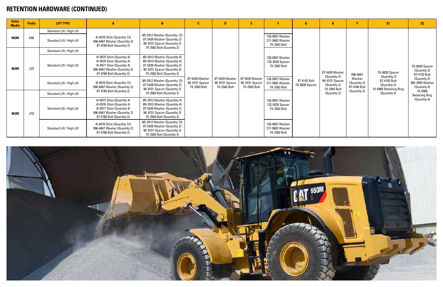| <b>Sales</b><br><b>Model</b> | <b>Prefix</b> | <b>LIFT TYPE</b>          |                                                                                                                                                                                                                                                                                                                                        | R                                                                                                                                                     | C                                                |                                                  | E                                                |                                                    | G                              |                                                                |                                                        | S <sub>1</sub>                                                                                           | S <sub>2</sub>                                                                                                                                        |
|------------------------------|---------------|---------------------------|----------------------------------------------------------------------------------------------------------------------------------------------------------------------------------------------------------------------------------------------------------------------------------------------------------------------------------------|-------------------------------------------------------------------------------------------------------------------------------------------------------|--------------------------------------------------|--------------------------------------------------|--------------------------------------------------|----------------------------------------------------|--------------------------------|----------------------------------------------------------------|--------------------------------------------------------|----------------------------------------------------------------------------------------------------------|-------------------------------------------------------------------------------------------------------------------------------------------------------|
| 962M                         | K88           | Standard Lift / High Lift | 4I-0576 Shim (Quantity 12)<br>096-6467 Washer (Quantity 2)<br>8T-4780 Bolt (Quantity 2)<br>4I-0575 Shim (Quantity 4)<br>41-0576 Shim (Quantity 4)<br>4I-0577 Shim (Quantity 4)<br>096-6467 Washer (Quantity 2)<br>8T-4780 Bolt (Quantity 2)<br>4I-0576 Shim (Quantity 12)<br>096-6467 Washer (Quantity 2)<br>8T-4780 Bolt (Quantity 2) | 8R-2912 Washer (Quantity 12)<br>8T-5439 Washer (Quantity 2)<br>9K-9731 Spacer (Quantity 2)<br>7X-2563 Bolt (Quantity 2)                               |                                                  |                                                  |                                                  |                                                    |                                |                                                                |                                                        |                                                                                                          |                                                                                                                                                       |
|                              |               | Standard Lift / High Lift |                                                                                                                                                                                                                                                                                                                                        |                                                                                                                                                       |                                                  |                                                  |                                                  | 128-0957 Washer<br>217-9902 Washer<br>7X-2563 Bolt |                                |                                                                |                                                        |                                                                                                          |                                                                                                                                                       |
| 962M                         | J2S           | Standard Lift / High Lift |                                                                                                                                                                                                                                                                                                                                        |                                                                                                                                                       |                                                  |                                                  |                                                  |                                                    |                                |                                                                |                                                        |                                                                                                          |                                                                                                                                                       |
|                              |               | Standard Lift / High Lift |                                                                                                                                                                                                                                                                                                                                        | 8R-2912 Washer (Quantity 4)<br>8R-2913 Washer (Quantity 4)<br>8T-5439 Washer (Quantity 2)<br>9K-9731 Spacer (Quantity 2)<br>7X-2563 Bolt (Quantity 2) | 8T-5439 Washer<br>9K-9731 Spacer<br>7X-2563 Bolt | 8T-5439 Washer<br>9K-9731 Spacer<br>7X-2563 Bolt | 8T-5439 Washer<br>9K-9731 Spacer<br>7X-2563 Bolt | 128-0957 Washer<br>132-5528 Spacer<br>7X-2563 Bolt |                                | 8T-5439 Washer                                                 | 096-6467                                               | 7G-8839 Spacer<br>(Quantity 2)<br>8T-4192 Bolt<br>(Quantity 2)<br>1K-6985 Retaining Ring<br>(Quantity 4) | 7G-8839 Spacer<br>(Quantity 2)<br>8T-4192 Bolt<br>(Quantity 2)<br>365-2565 Washer<br>(Quantity 4)<br>1K-6985<br><b>Retaining Ring</b><br>(Quantity 4) |
|                              |               | Standard Lift / High Lift |                                                                                                                                                                                                                                                                                                                                        | 8R-2912 Washer (Quantity 12)<br>8T-5439 Washer (Quantity 2)<br>9K-9731 Spacer (Quantity 2)<br>7X-2563 Bolt (Quantity 2)                               |                                                  |                                                  |                                                  | 128-0957 Washer<br>217-9902 Washer<br>7X-2563 Bolt | 8T-4192 Bolt<br>7G-8839 Spacer | (Quantity 2)<br>9K-9731 Spacer<br>(Quantity 2)<br>7X-2562 Bolt | Washer<br>(Quantity 2)<br>8T-4780 Bolt<br>(Quantity 2) |                                                                                                          |                                                                                                                                                       |
| 962M                         | JYD           | Standard Lift / High Lift |                                                                                                                                                                                                                                                                                                                                        |                                                                                                                                                       |                                                  |                                                  |                                                  |                                                    |                                | (Quantity 2)                                                   |                                                        |                                                                                                          |                                                                                                                                                       |
|                              |               | Standard Lift / High Lift | 4I-0575 Shim (Quantity 4)<br>41-0576 Shim (Quantity 4)<br>4I-0577 Shim (Quantity 4)<br>096-6467 Washer (Quantity 2)<br>8T-4780 Bolt (Quantity 2)                                                                                                                                                                                       | 8R-2912 Washer (Quantity 4)<br>8R-2913 Washer (Quantity 4)<br>8T-5439 Washer (Quantity 2)<br>9K-9731 Spacer (Quantity 2)<br>7X-2563 Bolt (Quantity 2) |                                                  |                                                  |                                                  | 128-0957 Washer<br>132-5528 Spacer<br>7X-2563 Bolt |                                |                                                                |                                                        |                                                                                                          |                                                                                                                                                       |
|                              |               | Standard Lift / High Lift | 4I-0576 Shim (Quantity 12)<br>096-6467 Washer (Quantity 2)<br>8T-4780 Bolt (Quantity 2)                                                                                                                                                                                                                                                | 8R-2912 Washer (Quantity 12)<br>8T-5439 Washer (Quantity 2)<br>9K-9731 Spacer (Quantity 2)<br>7X-2563 Bolt (Quantity 2)                               |                                                  |                                                  |                                                  | 128-0957 Washer<br>217-9902 Washer<br>7X-2563 Bolt |                                |                                                                |                                                        |                                                                                                          |                                                                                                                                                       |



#### **RETENTION HARDWARE (CONTINUED)**